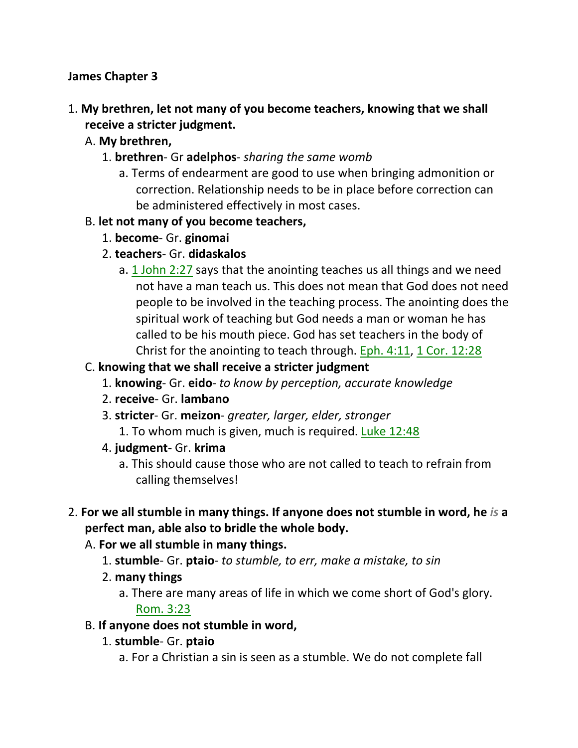#### **James Chapter 3**

# 1. **My brethren, let not many of you become teachers, knowing that we shall receive a stricter judgment.**

- A. **My brethren,**
	- 1. **brethren** Gr **adelphos** *sharing the same womb*
		- a. Terms of endearment are good to use when bringing admonition or correction. Relationship needs to be in place before correction can be administered effectively in most cases.

#### B. **let not many of you become teachers,**

- 1. **become** Gr. **ginomai**
- 2. **teachers** Gr. **didaskalos**
	- a. 1 John 2:27 says that the anointing teaches us all things and we need not have a man teach us. This does not mean that God does not need people to be involved in the teaching process. The anointing does the spiritual work of teaching but God needs a man or woman he has called to be his mouth piece. God has set teachers in the body of Christ for the anointing to teach through. Eph. 4:11, 1 Cor. 12:28

#### C. **knowing that we shall receive a stricter judgment**

- 1. **knowing** Gr. **eido** *to know by perception, accurate knowledge*
- 2. **receive** Gr. **lambano**
- 3. **stricter** Gr. **meizon** *greater, larger, elder, stronger*
	- 1. To whom much is given, much is required. Luke 12:48
- 4. **judgment-** Gr. **krima**
	- a. This should cause those who are not called to teach to refrain from calling themselves!
- 2. **For we all stumble in many things. If anyone does not stumble in word, he** *is* **a perfect man, able also to bridle the whole body.**
	- A. **For we all stumble in many things.**
		- 1. **stumble** Gr. **ptaio** *to stumble, to err, make a mistake, to sin*
		- 2. **many things**
			- a. There are many areas of life in which we come short of God's glory. Rom. 3:23
	- B. **If anyone does not stumble in word,**
		- 1. **stumble** Gr. **ptaio**
			- a. For a Christian a sin is seen as a stumble. We do not complete fall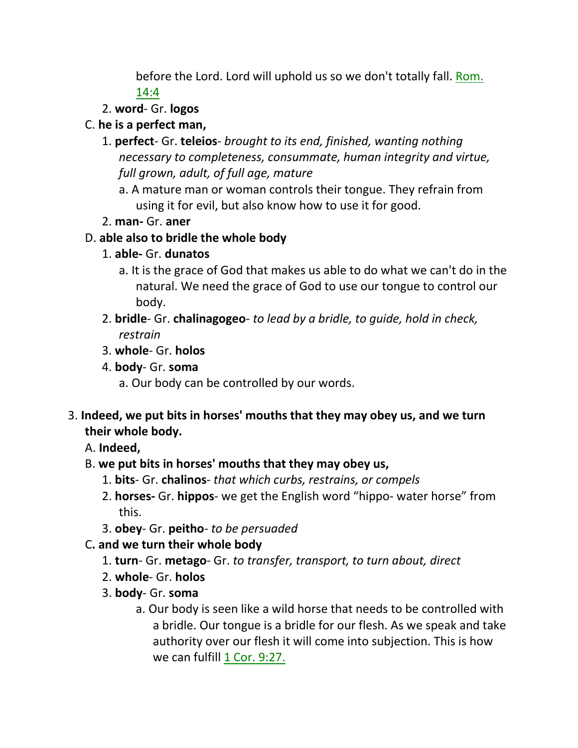before the Lord. Lord will uphold us so we don't totally fall. Rom. 14:4

2. **word**- Gr. **logos**

# C. **he is a perfect man,**

- 1. **perfect** Gr. **teleios** *brought to its end, finished, wanting nothing necessary to completeness, consummate, human integrity and virtue, full grown, adult, of full age, mature*
	- a. A mature man or woman controls their tongue. They refrain from using it for evil, but also know how to use it for good.
- 2. **man-** Gr. **aner**

# D. **able also to bridle the whole body**

- 1. **able-** Gr. **dunatos**
	- a. It is the grace of God that makes us able to do what we can't do in the natural. We need the grace of God to use our tongue to control our body.
- 2. **bridle** Gr. **chalinagogeo** *to lead by a bridle, to guide, hold in check, restrain*
- 3. **whole** Gr. **holos**
- 4. **body** Gr. **soma**
	- a. Our body can be controlled by our words.
- 3. **Indeed, we put bits in horses' mouths that they may obey us, and we turn their whole body.**

A. **Indeed,**

- B. **we put bits in horses' mouths that they may obey us,**
	- 1. **bits** Gr. **chalinos** *that which curbs, restrains, or compels*
	- 2. **horses-** Gr. **hippos** we get the English word "hippo- water horse" from this.
	- 3. **obey** Gr. **peitho** *to be persuaded*
- C**. and we turn their whole body**
	- 1. **turn** Gr. **metago** Gr. *to transfer, transport, to turn about, direct*
	- 2. **whole** Gr. **holos**
	- 3. **body** Gr. **soma**
		- a. Our body is seen like a wild horse that needs to be controlled with a bridle. Our tongue is a bridle for our flesh. As we speak and take authority over our flesh it will come into subjection. This is how we can fulfill 1 Cor. 9:27.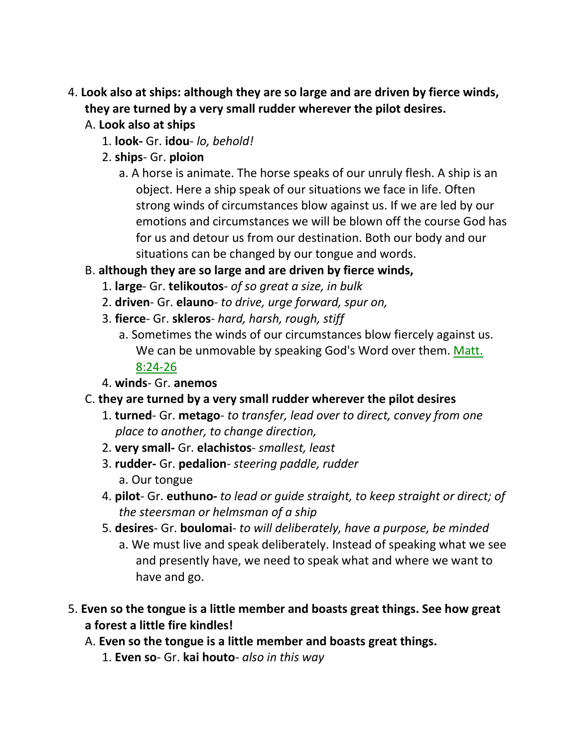- 4. **Look also at ships: although they are so large and are driven by fierce winds, they are turned by a very small rudder wherever the pilot desires.** 
	- A. **Look also at ships**
		- 1. **look-** Gr. **idou** *lo, behold!*
		- 2. **ships** Gr. **ploion**
			- a. A horse is animate. The horse speaks of our unruly flesh. A ship is an object. Here a ship speak of our situations we face in life. Often strong winds of circumstances blow against us. If we are led by our emotions and circumstances we will be blown off the course God has for us and detour us from our destination. Both our body and our situations can be changed by our tongue and words.
	- B. **although they are so large and are driven by fierce winds,**
		- 1. **large** Gr. **telikoutos** *of so great a size, in bulk*
		- 2. **driven** Gr. **elauno** *to drive, urge forward, spur on,*
		- 3. **fierce** Gr. **skleros** *hard, harsh, rough, stiff*
			- a. Sometimes the winds of our circumstances blow fiercely against us. We can be unmovable by speaking God's Word over them. Matt. 8:24-26
		- 4. **winds** Gr. **anemos**
	- C. **they are turned by a very small rudder wherever the pilot desires**
		- 1. **turned** Gr. **metago** *to transfer, lead over to direct, convey from one place to another, to change direction,*
		- 2. **very small-** Gr. **elachistos** *smallest, least*
		- 3. **rudder-** Gr. **pedalion** *steering paddle, rudder* a. Our tongue
		- 4. **pilot** Gr. **euthuno-** *to lead or guide straight, to keep straight or direct; of the steersman or helmsman of a ship*
		- 5. **desires** Gr. **boulomai** *to will deliberately, have a purpose, be minded*
			- a. We must live and speak deliberately. Instead of speaking what we see and presently have, we need to speak what and where we want to have and go.
- 5. **Even so the tongue is a little member and boasts great things. See how great a forest a little fire kindles!**
	- A. **Even so the tongue is a little member and boasts great things.**
		- 1. **Even so** Gr. **kai houto** *also in this way*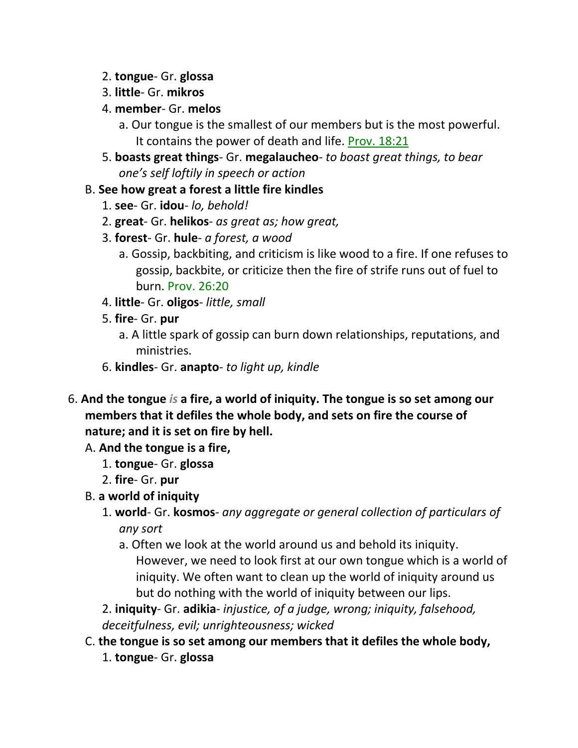#### 2. **tongue**- Gr. **glossa**

- 3. **little** Gr. **mikros**
- 4. **member** Gr. **melos**
	- a. Our tongue is the smallest of our members but is the most powerful. It contains the power of death and life. Prov. 18:21
- 5. **boasts great things** Gr. **megalaucheo** *to boast great things, to bear one's self loftily in speech or action*

### B. **See how great a forest a little fire kindles**

- 1. **see** Gr. **idou** *lo, behold!*
- 2. **great** Gr. **helikos** *as great as; how great,*
- 3. **forest** Gr. **hule** *a forest, a wood*
	- a. Gossip, backbiting, and criticism is like wood to a fire. If one refuses to gossip, backbite, or criticize then the fire of strife runs out of fuel to burn. Prov. 26:20
- 4. **little** Gr. **oligos** *little, small*
- 5. **fire** Gr. **pur**
	- a. A little spark of gossip can burn down relationships, reputations, and ministries.
- 6. **kindles** Gr. **anapto** *to light up, kindle*
- 6. **And the tongue** *is* **a fire, a world of iniquity. The tongue is so set among our members that it defiles the whole body, and sets on fire the course of nature; and it is set on fire by hell.** 
	- A. **And the tongue is a fire,**
		- 1. **tongue** Gr. **glossa**
		- 2. **fire** Gr. **pur**
	- B. **a world of iniquity**
		- 1. **world** Gr. **kosmos** *any aggregate or general collection of particulars of any sort*
			- a. Often we look at the world around us and behold its iniquity. However, we need to look first at our own tongue which is a world of iniquity. We often want to clean up the world of iniquity around us but do nothing with the world of iniquity between our lips.

2. **iniquity**- Gr. **adikia**- *injustice, of a judge, wrong; iniquity, falsehood, deceitfulness, evil; unrighteousness; wicked*

# C. **the tongue is so set among our members that it defiles the whole body,** 1. **tongue**- Gr. **glossa**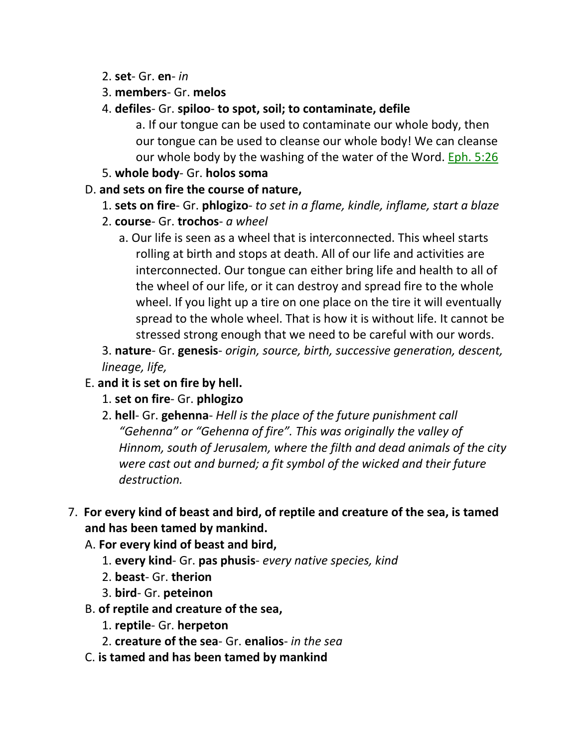- 2. **set** Gr. **en** *in*
- 3. **members** Gr. **melos**
- 4. **defiles** Gr. **spiloo to spot, soil; to contaminate, defile**

a. If our tongue can be used to contaminate our whole body, then our tongue can be used to cleanse our whole body! We can cleanse our whole body by the washing of the water of the Word. Eph. 5:26

5. **whole body**- Gr. **holos soma**

# D. **and sets on fire the course of nature,**

- 1. **sets on fire** Gr. **phlogizo** *to set in a flame, kindle, inflame, start a blaze*
- 2. **course** Gr. **trochos** *a wheel*
	- a. Our life is seen as a wheel that is interconnected. This wheel starts rolling at birth and stops at death. All of our life and activities are interconnected. Our tongue can either bring life and health to all of the wheel of our life, or it can destroy and spread fire to the whole wheel. If you light up a tire on one place on the tire it will eventually spread to the whole wheel. That is how it is without life. It cannot be stressed strong enough that we need to be careful with our words.

3. **nature**- Gr. **genesis**- *origin, source, birth, successive generation, descent, lineage, life,*

- E. **and it is set on fire by hell.**
	- 1. **set on fire** Gr. **phlogizo**
	- 2. **hell** Gr. **gehenna** *Hell is the place of the future punishment call "Gehenna" or "Gehenna of fire". This was originally the valley of Hinnom, south of Jerusalem, where the filth and dead animals of the city were cast out and burned; a fit symbol of the wicked and their future destruction.*
- 7. **For every kind of beast and bird, of reptile and creature of the sea, is tamed and has been tamed by mankind.**
	- A. **For every kind of beast and bird,**
		- 1. **every kind** Gr. **pas phusis** *every native species, kind*
		- 2. **beast** Gr. **therion**
		- 3. **bird** Gr. **peteinon**
	- B. **of reptile and creature of the sea,**
		- 1. **reptile** Gr. **herpeton**
		- 2. **creature of the sea** Gr. **enalios** *in the sea*
	- C. **is tamed and has been tamed by mankind**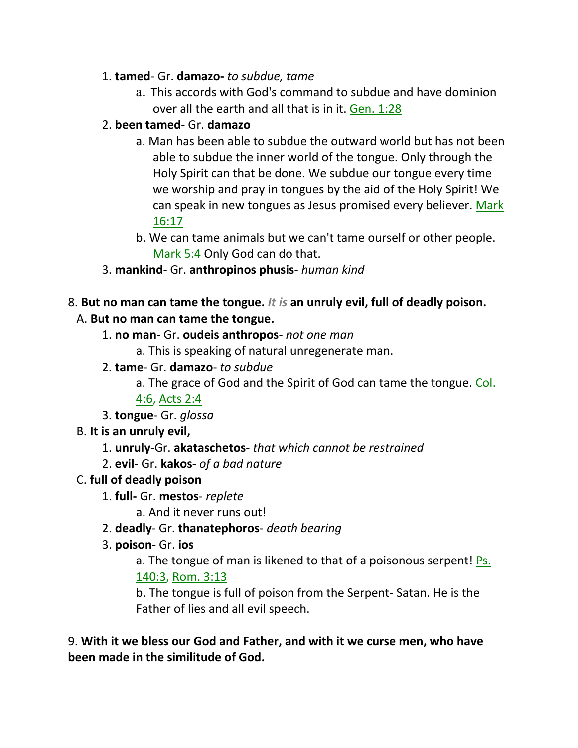## 1. **tamed**- Gr. **damazo-** *to subdue, tame*

a. This accords with God's command to subdue and have dominion over all the earth and all that is in it. Gen. 1:28

## 2. **been tamed**- Gr. **damazo**

- a. Man has been able to subdue the outward world but has not been able to subdue the inner world of the tongue. Only through the Holy Spirit can that be done. We subdue our tongue every time we worship and pray in tongues by the aid of the Holy Spirit! We can speak in new tongues as Jesus promised every believer. Mark 16:17
- b. We can tame animals but we can't tame ourself or other people. Mark 5:4 Only God can do that.
- 3. **mankind** Gr. **anthropinos phusis** *human kind*

# 8. **But no man can tame the tongue.** *It is* **an unruly evil, full of deadly poison.**

# A. **But no man can tame the tongue.**

- 1. **no man** Gr. **oudeis anthropos** *not one man*
	- a. This is speaking of natural unregenerate man.
- 2. **tame** Gr. **damazo** *to subdue*

a. The grace of God and the Spirit of God can tame the tongue. Col.

4:6, Acts 2:4

3. **tongue**- Gr. *glossa*

- B. **It is an unruly evil,**
	- 1. **unruly**-Gr. **akataschetos** *that which cannot be restrained*
	- 2. **evil** Gr. **kakos** *of a bad nature*

# C. **full of deadly poison**

1. **full-** Gr. **mestos**- *replete*

a. And it never runs out!

- 2. **deadly** Gr. **thanatephoros** *death bearing*
- 3. **poison** Gr. **ios**

a. The tongue of man is likened to that of a poisonous serpent! Ps. 140:3, Rom. 3:13

b. The tongue is full of poison from the Serpent- Satan. He is the Father of lies and all evil speech.

9. **With it we bless our God and Father, and with it we curse men, who have been made in the similitude of God.**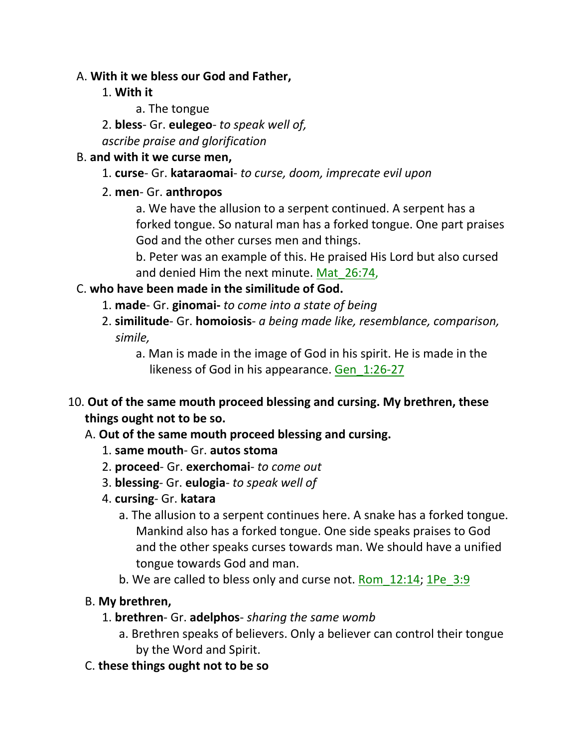#### A. **With it we bless our God and Father,**

- 1. **With it**
	- a. The tongue
- 2. **bless** Gr. **eulegeo** *to speak well of,*

*ascribe praise and glorification*

## B. **and with it we curse men,**

- 1. **curse** Gr. **kataraomai** *to curse, doom, imprecate evil upon*
- 2. **men** Gr. **anthropos**
	- a. We have the allusion to a serpent continued. A serpent has a forked tongue. So natural man has a forked tongue. One part praises God and the other curses men and things.

b. Peter was an example of this. He praised His Lord but also cursed and denied Him the next minute. Mat 26:74,

# C. **who have been made in the similitude of God.**

- 1. **made** Gr. **ginomai-** *to come into a state of being*
- 2. **similitude** Gr. **homoiosis** *a being made like, resemblance, comparison, simile,*
	- a. Man is made in the image of God in his spirit. He is made in the likeness of God in his appearance. Gen 1:26-27
- 10. **Out of the same mouth proceed blessing and cursing. My brethren, these things ought not to be so.** 
	- A. **Out of the same mouth proceed blessing and cursing.**
		- 1. **same mouth** Gr. **autos stoma**
		- 2. **proceed** Gr. **exerchomai** *to come out*
		- 3. **blessing** Gr. **eulogia** *to speak well of*
		- 4. **cursing** Gr. **katara**
			- a. The allusion to a serpent continues here. A snake has a forked tongue. Mankind also has a forked tongue. One side speaks praises to God and the other speaks curses towards man. We should have a unified tongue towards God and man.
			- b. We are called to bless only and curse not. Rom 12:14; 1Pe 3:9

# B. **My brethren,**

- 1. **brethren** Gr. **adelphos** *sharing the same womb*
	- a. Brethren speaks of believers. Only a believer can control their tongue by the Word and Spirit.
- C. **these things ought not to be so**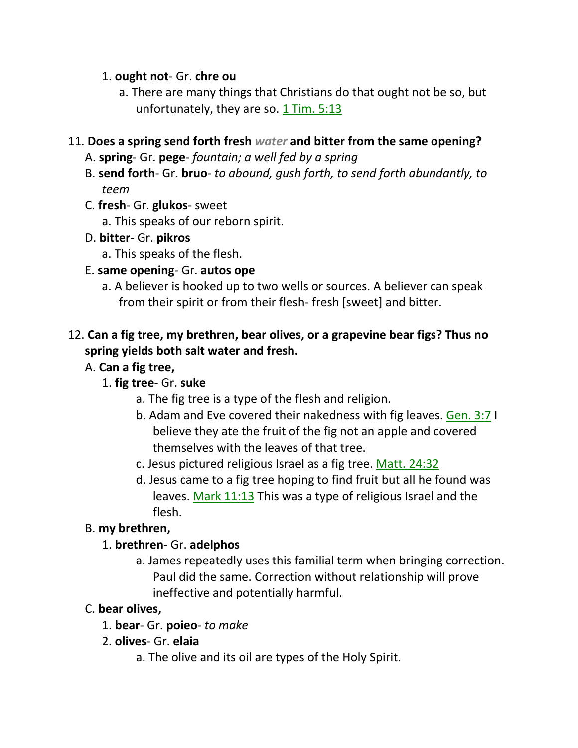#### 1. **ought not**- Gr. **chre ou**

a. There are many things that Christians do that ought not be so, but unfortunately, they are so. 1 Tim. 5:13

#### 11. **Does a spring send forth fresh** *water* **and bitter from the same opening?**

- A. **spring** Gr. **pege** *fountain; a well fed by a spring*
- B. **send forth** Gr. **bruo** *to abound, gush forth, to send forth abundantly, to teem*
- C. **fresh** Gr. **glukos** sweet
	- a. This speaks of our reborn spirit.
- D. **bitter** Gr. **pikros**
	- a. This speaks of the flesh.
- E. **same opening** Gr. **autos ope**
	- a. A believer is hooked up to two wells or sources. A believer can speak from their spirit or from their flesh- fresh [sweet] and bitter.

# 12. **Can a fig tree, my brethren, bear olives, or a grapevine bear figs? Thus no spring yields both salt water and fresh.**

## A. **Can a fig tree,**

- 1. **fig tree** Gr. **suke**
	- a. The fig tree is a type of the flesh and religion.
	- b. Adam and Eve covered their nakedness with fig leaves. Gen. 3:7 I believe they ate the fruit of the fig not an apple and covered themselves with the leaves of that tree.
	- c. Jesus pictured religious Israel as a fig tree. Matt. 24:32
	- d. Jesus came to a fig tree hoping to find fruit but all he found was leaves. Mark 11:13 This was a type of religious Israel and the flesh.

# B. **my brethren,**

#### 1. **brethren**- Gr. **adelphos**

a. James repeatedly uses this familial term when bringing correction. Paul did the same. Correction without relationship will prove ineffective and potentially harmful.

#### C. **bear olives,**

- 1. **bear** Gr. **poieo** *to make*
- 2. **olives** Gr. **elaia**
	- a. The olive and its oil are types of the Holy Spirit.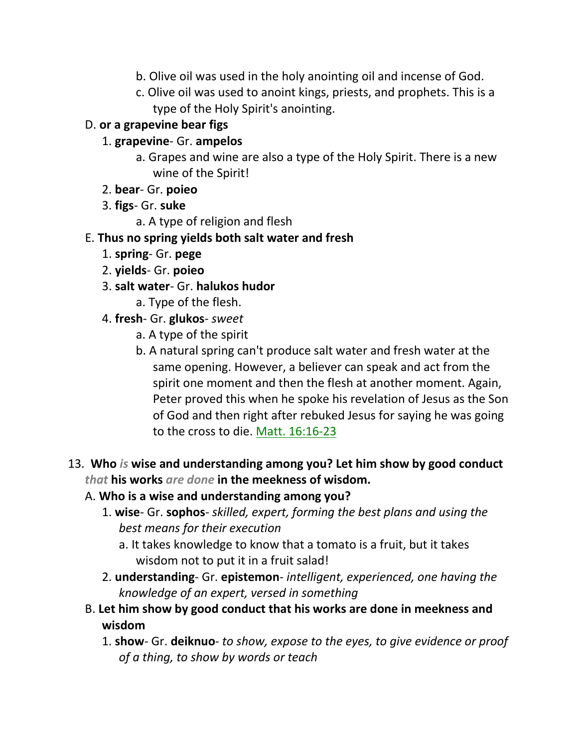- b. Olive oil was used in the holy anointing oil and incense of God.
- c. Olive oil was used to anoint kings, priests, and prophets. This is a type of the Holy Spirit's anointing.

## D. **or a grapevine bear figs**

- 1. **grapevine** Gr. **ampelos**
	- a. Grapes and wine are also a type of the Holy Spirit. There is a new wine of the Spirit!
- 2. **bear** Gr. **poieo**
- 3. **figs** Gr. **suke**
	- a. A type of religion and flesh

# E. **Thus no spring yields both salt water and fresh**

- 1. **spring** Gr. **pege**
- 2. **yields** Gr. **poieo**
- 3. **salt water** Gr. **halukos hudor**
	- a. Type of the flesh.
- 4. **fresh** Gr. **glukos** *sweet*
	- a. A type of the spirit
	- b. A natural spring can't produce salt water and fresh water at the same opening. However, a believer can speak and act from the spirit one moment and then the flesh at another moment. Again, Peter proved this when he spoke his revelation of Jesus as the Son of God and then right after rebuked Jesus for saying he was going to the cross to die. Matt. 16:16-23
- 13. **Who** *is* **wise and understanding among you? Let him show by good conduct**  *that* **his works** *are done* **in the meekness of wisdom.**
	- A. **Who is a wise and understanding among you?**
		- 1. **wise** Gr. **sophos** *skilled, expert, forming the best plans and using the best means for their execution*
			- a. It takes knowledge to know that a tomato is a fruit, but it takes wisdom not to put it in a fruit salad!
		- 2. **understanding** Gr. **epistemon** *intelligent, experienced, one having the knowledge of an expert, versed in something*
	- B. **Let him show by good conduct that his works are done in meekness and wisdom**
		- 1. **show** Gr. **deiknuo** *to show, expose to the eyes, to give evidence or proof of a thing, to show by words or teach*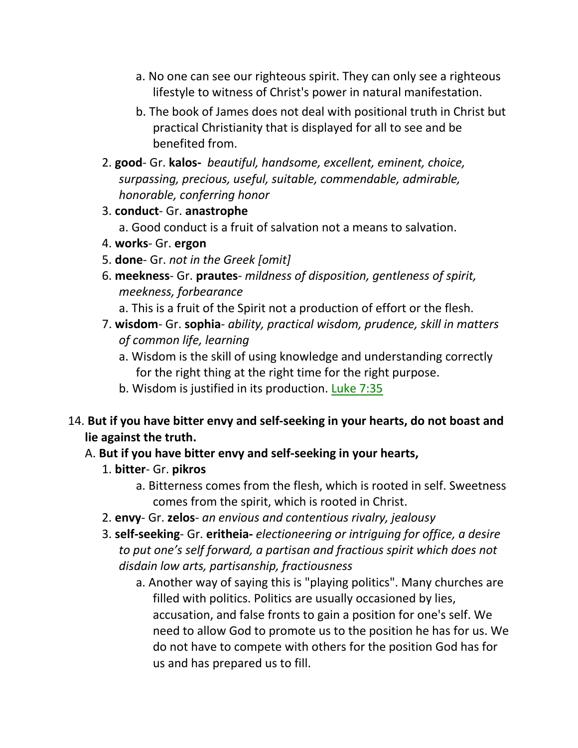- a. No one can see our righteous spirit. They can only see a righteous lifestyle to witness of Christ's power in natural manifestation.
- b. The book of James does not deal with positional truth in Christ but practical Christianity that is displayed for all to see and be benefited from.
- 2. **good** Gr. **kalos-** *beautiful, handsome, excellent, eminent, choice, surpassing, precious, useful, suitable, commendable, admirable, honorable, conferring honor*
- 3. **conduct** Gr. **anastrophe**
	- a. Good conduct is a fruit of salvation not a means to salvation.
- 4. **works** Gr. **ergon**
- 5. **done** Gr. *not in the Greek [omit]*
- 6. **meekness** Gr. **prautes** *mildness of disposition, gentleness of spirit, meekness, forbearance*
	- a. This is a fruit of the Spirit not a production of effort or the flesh.
- 7. **wisdom** Gr. **sophia** *ability, practical wisdom, prudence, skill in matters of common life, learning*
	- a. Wisdom is the skill of using knowledge and understanding correctly for the right thing at the right time for the right purpose.
	- b. Wisdom is justified in its production. Luke  $7:35$
- 14. **But if you have bitter envy and self-seeking in your hearts, do not boast and lie against the truth.** 
	- A. **But if you have bitter envy and self-seeking in your hearts,**
		- 1. **bitter** Gr. **pikros**
			- a. Bitterness comes from the flesh, which is rooted in self. Sweetness comes from the spirit, which is rooted in Christ.
		- 2. **envy** Gr. **zelos** *an envious and contentious rivalry, jealousy*
		- 3. **self-seeking** Gr. **eritheia-** *electioneering or intriguing for office, a desire to put one's self forward, a partisan and fractious spirit which does not disdain low arts, partisanship, fractiousness*
			- a. Another way of saying this is "playing politics". Many churches are filled with politics. Politics are usually occasioned by lies, accusation, and false fronts to gain a position for one's self. We need to allow God to promote us to the position he has for us. We do not have to compete with others for the position God has for us and has prepared us to fill.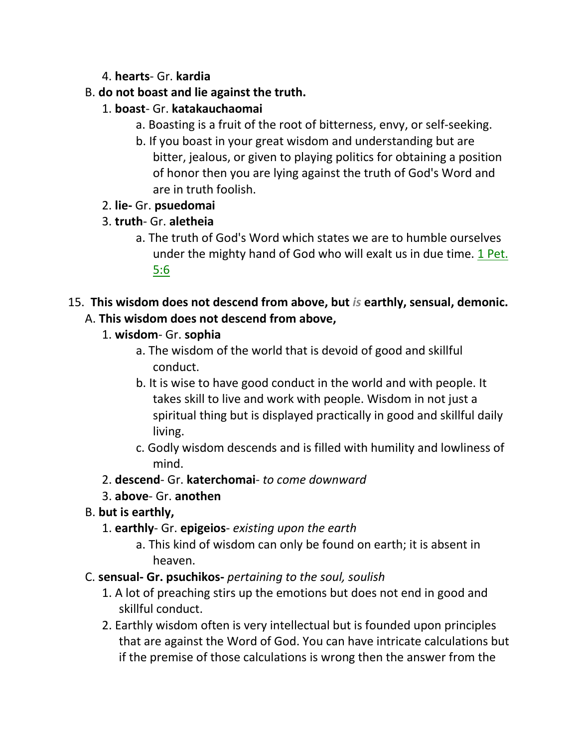# 4. **hearts**- Gr. **kardia**

## B. **do not boast and lie against the truth.**

- 1. **boast** Gr. **katakauchaomai**
	- a. Boasting is a fruit of the root of bitterness, envy, or self-seeking.
	- b. If you boast in your great wisdom and understanding but are bitter, jealous, or given to playing politics for obtaining a position of honor then you are lying against the truth of God's Word and are in truth foolish.
- 2. **lie-** Gr. **psuedomai**
- 3. **truth** Gr. **aletheia**
	- a. The truth of God's Word which states we are to humble ourselves under the mighty hand of God who will exalt us in due time. 1 Pet. 5:6
- 15. **This wisdom does not descend from above, but** *is* **earthly, sensual, demonic.**  A. **This wisdom does not descend from above,**
	- 1. **wisdom** Gr. **sophia**
		- a. The wisdom of the world that is devoid of good and skillful conduct.
		- b. It is wise to have good conduct in the world and with people. It takes skill to live and work with people. Wisdom in not just a spiritual thing but is displayed practically in good and skillful daily living.
		- c. Godly wisdom descends and is filled with humility and lowliness of mind.
	- 2. **descend** Gr. **katerchomai** *to come downward*
	- 3. **above** Gr. **anothen**
	- B. **but is earthly,**
		- 1. **earthly** Gr. **epigeios** *existing upon the earth*
			- a. This kind of wisdom can only be found on earth; it is absent in heaven.
	- C. **sensual- Gr. psuchikos-** *pertaining to the soul, soulish*
		- 1. A lot of preaching stirs up the emotions but does not end in good and skillful conduct.
		- 2. Earthly wisdom often is very intellectual but is founded upon principles that are against the Word of God. You can have intricate calculations but if the premise of those calculations is wrong then the answer from the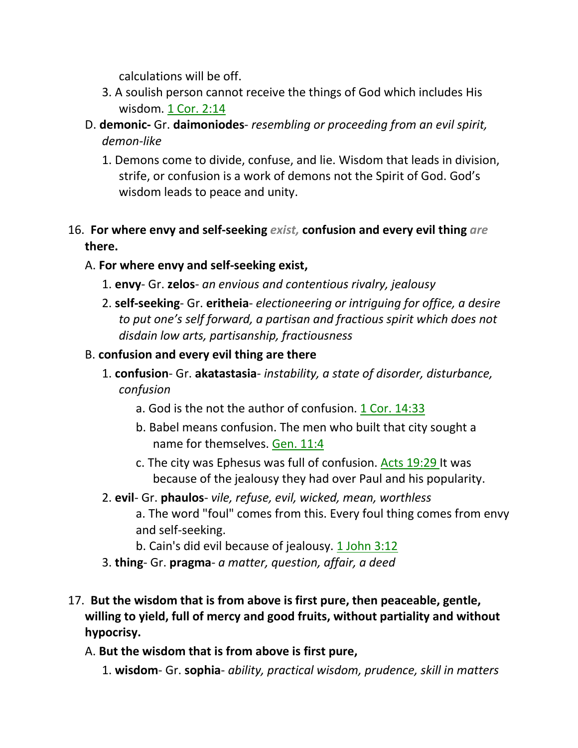calculations will be off.

- 3. A soulish person cannot receive the things of God which includes His wisdom. 1 Cor. 2:14
- D. **demonic-** Gr. **daimoniodes** *resembling or proceeding from an evil spirit, demon-like*
	- 1. Demons come to divide, confuse, and lie. Wisdom that leads in division, strife, or confusion is a work of demons not the Spirit of God. God's wisdom leads to peace and unity.

# 16. **For where envy and self-seeking** *exist,* **confusion and every evil thing** *are* **there.**

# A. **For where envy and self-seeking exist,**

- 1. **envy** Gr. **zelos** *an envious and contentious rivalry, jealousy*
- 2. **self-seeking** Gr. **eritheia** *electioneering or intriguing for office, a desire to put one's self forward, a partisan and fractious spirit which does not disdain low arts, partisanship, fractiousness*

# B. **confusion and every evil thing are there**

- 1. **confusion** Gr. **akatastasia** *instability, a state of disorder, disturbance, confusion*
	- a. God is the not the author of confusion.  $1$  Cor.  $14:33$
	- b. Babel means confusion. The men who built that city sought a name for themselves. Gen. 11:4
	- c. The city was Ephesus was full of confusion. Acts 19:29 It was because of the jealousy they had over Paul and his popularity.
- 2. **evil** Gr. **phaulos** *vile, refuse, evil, wicked, mean, worthless* a. The word "foul" comes from this. Every foul thing comes from envy and self-seeking.
	- b. Cain's did evil because of jealousy. 1 John 3:12
- 3. **thing** Gr. **pragma** *a matter, question, affair, a deed*
- 17. **But the wisdom that is from above is first pure, then peaceable, gentle, willing to yield, full of mercy and good fruits, without partiality and without hypocrisy.**
	- A. **But the wisdom that is from above is first pure,**
		- 1. **wisdom** Gr. **sophia** *ability, practical wisdom, prudence, skill in matters*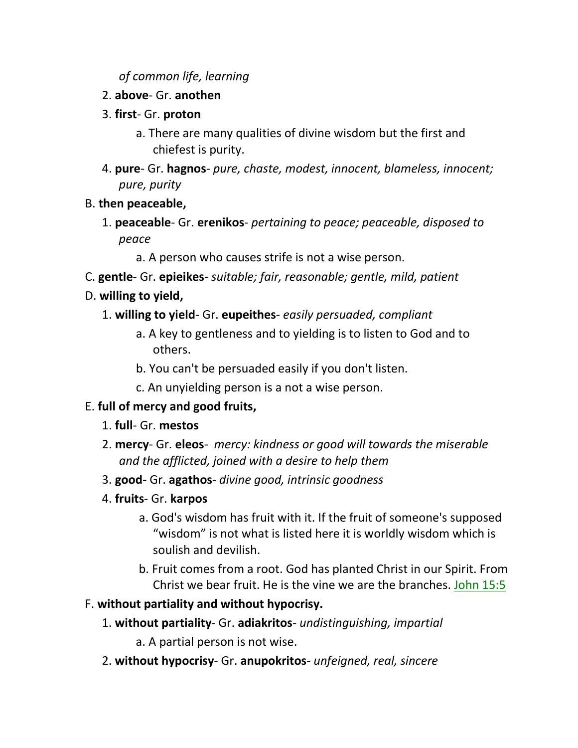### *of common life, learning*

- 2. **above** Gr. **anothen**
- 3. **first** Gr. **proton**
	- a. There are many qualities of divine wisdom but the first and chiefest is purity.
- 4. **pure** Gr. **hagnos** *pure, chaste, modest, innocent, blameless, innocent; pure, purity*
- B. **then peaceable,**
	- 1. **peaceable** Gr. **erenikos** *pertaining to peace; peaceable, disposed to peace*
		- a. A person who causes strife is not a wise person.
- C. **gentle** Gr. **epieikes** *suitable; fair, reasonable; gentle, mild, patient*
- D. **willing to yield,**
	- 1. **willing to yield** Gr. **eupeithes** *easily persuaded, compliant*
		- a. A key to gentleness and to yielding is to listen to God and to others.
		- b. You can't be persuaded easily if you don't listen.
		- c. An unyielding person is a not a wise person.

# E. **full of mercy and good fruits,**

- 1. **full** Gr. **mestos**
- 2. **mercy** Gr. **eleos** *mercy: kindness or good will towards the miserable and the afflicted, joined with a desire to help them*
- 3. **good-** Gr. **agathos** *divine good, intrinsic goodness*
- 4. **fruits** Gr. **karpos**
	- a. God's wisdom has fruit with it. If the fruit of someone's supposed "wisdom" is not what is listed here it is worldly wisdom which is soulish and devilish.
	- b. Fruit comes from a root. God has planted Christ in our Spirit. From Christ we bear fruit. He is the vine we are the branches. John 15:5

# F. **without partiality and without hypocrisy.**

- 1. **without partiality** Gr. **adiakritos** *undistinguishing, impartial*
	- a. A partial person is not wise.
- 2. **without hypocrisy** Gr. **anupokritos** *unfeigned, real, sincere*